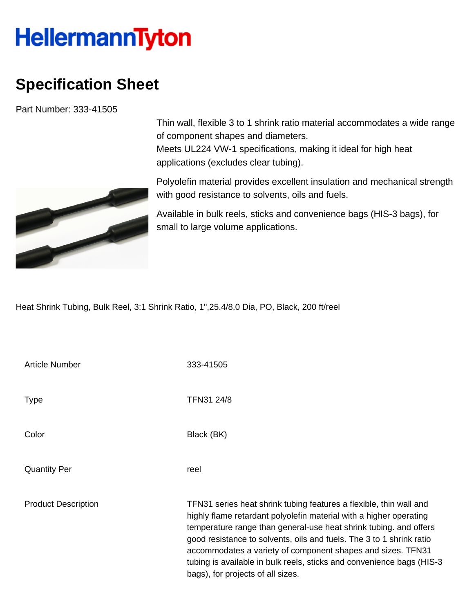## **HellermannTyton**

## **Specification Sheet**

Part Number: 333-41505



Thin wall, flexible 3 to 1 shrink ratio material accommodates a wide range of component shapes and diameters. Meets UL224 VW-1 specifications, making it ideal for high heat applications (excludes clear tubing).

Polyolefin material provides excellent insulation and mechanical strength with good resistance to solvents, oils and fuels.

Available in bulk reels, sticks and convenience bags (HIS-3 bags), for small to large volume applications.

Heat Shrink Tubing, Bulk Reel, 3:1 Shrink Ratio, 1",25.4/8.0 Dia, PO, Black, 200 ft/reel

| <b>Article Number</b>      | 333-41505                                                                                                                                                                                                                                                                                                                                                                                                                                                           |
|----------------------------|---------------------------------------------------------------------------------------------------------------------------------------------------------------------------------------------------------------------------------------------------------------------------------------------------------------------------------------------------------------------------------------------------------------------------------------------------------------------|
| <b>Type</b>                | TFN31 24/8                                                                                                                                                                                                                                                                                                                                                                                                                                                          |
| Color                      | Black (BK)                                                                                                                                                                                                                                                                                                                                                                                                                                                          |
| <b>Quantity Per</b>        | reel                                                                                                                                                                                                                                                                                                                                                                                                                                                                |
| <b>Product Description</b> | TFN31 series heat shrink tubing features a flexible, thin wall and<br>highly flame retardant polyolefin material with a higher operating<br>temperature range than general-use heat shrink tubing. and offers<br>good resistance to solvents, oils and fuels. The 3 to 1 shrink ratio<br>accommodates a variety of component shapes and sizes. TFN31<br>tubing is available in bulk reels, sticks and convenience bags (HIS-3)<br>bags), for projects of all sizes. |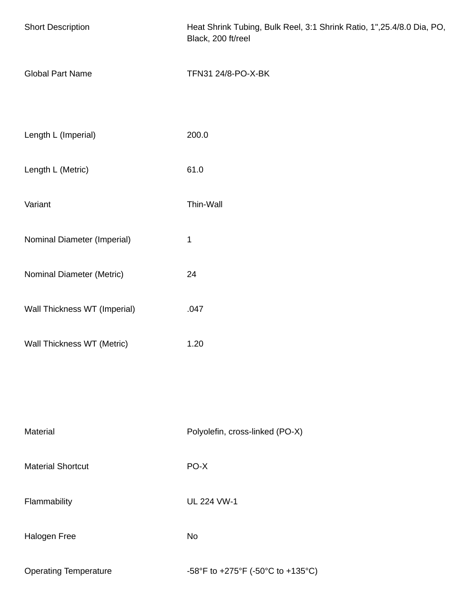| <b>Short Description</b>     | Heat Shrink Tubing, Bulk Reel, 3:1 Shrink Ratio, 1", 25.4/8.0 Dia, PO,<br>Black, 200 ft/reel |
|------------------------------|----------------------------------------------------------------------------------------------|
| <b>Global Part Name</b>      | TFN31 24/8-PO-X-BK                                                                           |
| Length L (Imperial)          | 200.0                                                                                        |
| Length L (Metric)            | 61.0                                                                                         |
| Variant                      | Thin-Wall                                                                                    |
| Nominal Diameter (Imperial)  | 1                                                                                            |
| Nominal Diameter (Metric)    | 24                                                                                           |
| Wall Thickness WT (Imperial) | .047                                                                                         |
| Wall Thickness WT (Metric)   | 1.20                                                                                         |
|                              |                                                                                              |
| Material                     | Polyolefin, cross-linked (PO-X)                                                              |
| <b>Material Shortcut</b>     | PO-X                                                                                         |
| Flammability                 | <b>UL 224 VW-1</b>                                                                           |
| Halogen Free                 | No                                                                                           |
| <b>Operating Temperature</b> | -58°F to +275°F (-50°C to +135°C)                                                            |